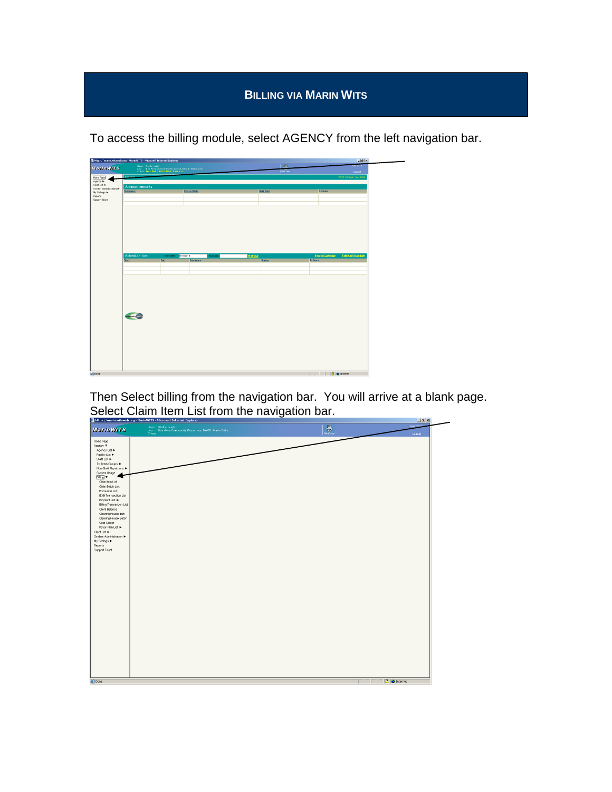## **BILLING VIA MARIN WITS**

To access the billing module, select AGENCY from the left navigation bar.



Then Select billing from the navigation bar. You will arrive at a blank page. Select Claim Item List from the navigation bar.

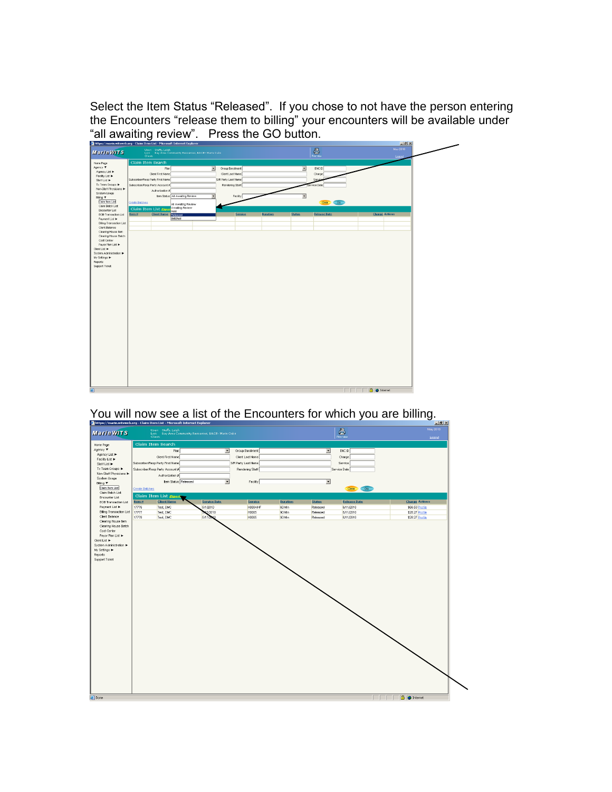Select the Item Status "Released". If you chose to not have the person entering the Encounters "release them to billing" your encounters will be available under "all awaiting review". Press the GO button.





## You will now see a list of the Encounters for which you are billing.

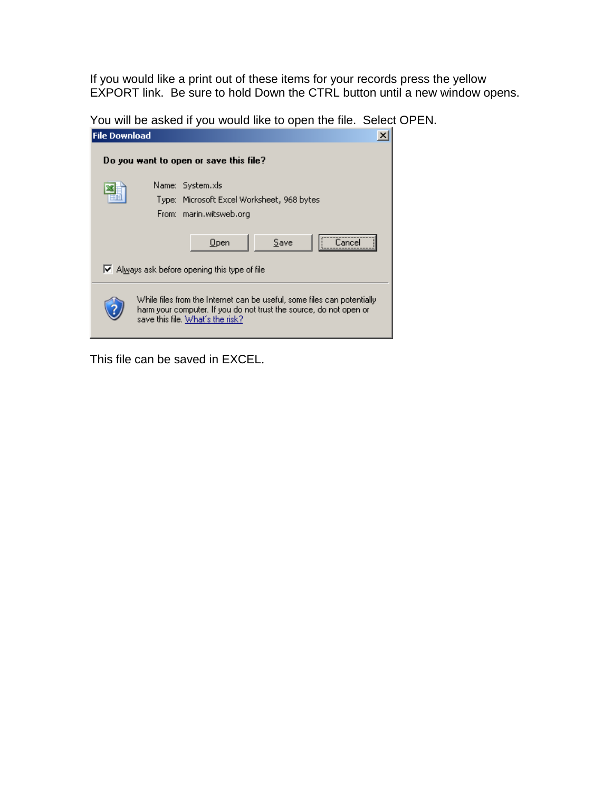If you would like a print out of these items for your records press the yellow EXPORT link. Be sure to hold Down the CTRL button until a new window opens.

You will be asked if you would like to open the file. Select OPEN.

| <b>File Download</b>                                                                                                                                                              |                                                                                                    |  |  |  |  |  |  |  |  |
|-----------------------------------------------------------------------------------------------------------------------------------------------------------------------------------|----------------------------------------------------------------------------------------------------|--|--|--|--|--|--|--|--|
| Do you want to open or save this file?                                                                                                                                            |                                                                                                    |  |  |  |  |  |  |  |  |
|                                                                                                                                                                                   | Name: System.xls<br>Type: Microsoft Excel Worksheet, 968 bytes<br>From: marin.witsweb.org          |  |  |  |  |  |  |  |  |
|                                                                                                                                                                                   | <br>$Q$ pen<br>Save<br>Cancel<br>$\blacktriangleright$ Always ask before opening this type of file |  |  |  |  |  |  |  |  |
| While files from the Internet can be useful, some files can potentially<br>harm your computer. If you do not trust the source, do not open or<br>save this file. What's the risk? |                                                                                                    |  |  |  |  |  |  |  |  |

This file can be saved in EXCEL.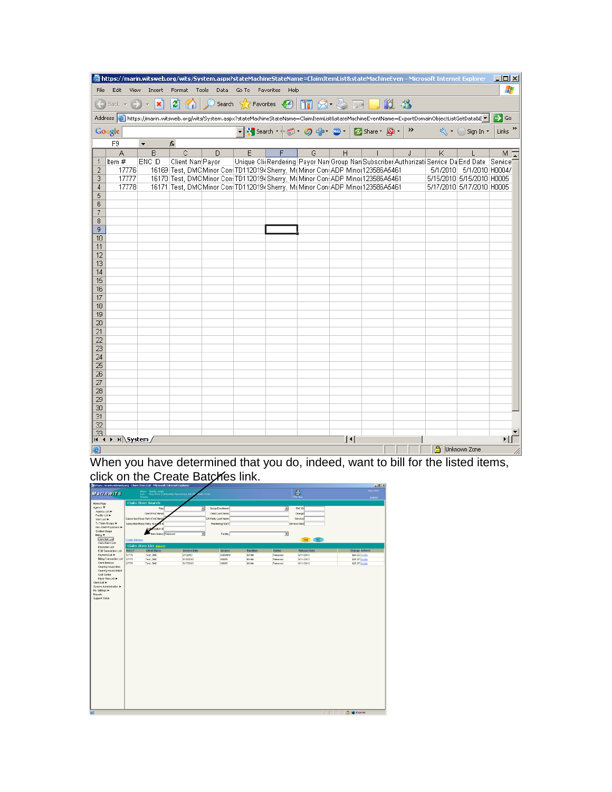| of https://marin.witsweb.org/wits/System.aspx?stateMachineStateName=ClaimItemList&stateMachineEven - Microsoft Internet Explorer                                      |       |              |                  |        |   |  |   |   | $\Box$ o $\Box$                                                                             |                     |   |                           |                    |
|-----------------------------------------------------------------------------------------------------------------------------------------------------------------------|-------|--------------|------------------|--------|---|--|---|---|---------------------------------------------------------------------------------------------|---------------------|---|---------------------------|--------------------|
| Æ<br>Format Tools Data Go To Favorites Help<br>File<br>Edit<br>View<br>Insert                                                                                         |       |              |                  |        |   |  |   |   |                                                                                             |                     |   |                           |                    |
| Back $\mathbf{v} \left( \mathbf{v} \right) \mathbf{v} \mathbf{x}$                                                                                                     |       |              |                  |        |   |  |   |   |                                                                                             |                     |   |                           |                    |
| Address and https://marin.witsweb.org/wits/5ystem.aspx?stateMachineStateName=ClaimItemList&stateMachineEventName=ExportDomainObjectListGetData&E▼<br>$\Rightarrow$ Go |       |              |                  |        |   |  |   |   |                                                                                             |                     |   |                           |                    |
| Sign In ▼<br>Google                                                                                                                                                   |       |              |                  |        |   |  |   |   |                                                                                             | Links $\rightarrow$ |   |                           |                    |
| F9<br>fx                                                                                                                                                              |       |              |                  |        |   |  |   |   |                                                                                             |                     |   |                           |                    |
|                                                                                                                                                                       | A     | B            | $\overline{C}$   | $\Box$ | E |  | G | H |                                                                                             | J.                  | K |                           | $M_{\overline{A}}$ |
| 1                                                                                                                                                                     | Item# | ENC ID       | Client Nam Payor |        |   |  |   |   | Unique Cli(Rendering Payor Nan Group Nan Subscriber Authorizati Service Da End Date Service |                     |   |                           |                    |
| 2                                                                                                                                                                     | 17776 |              |                  |        |   |  |   |   | 16169 Test, DMC Minor Con: TD1120194 Sherry, McMinor Con: ADP Mino 123586A5461              |                     |   | 5/1/2010 5/1/2010 H0004/  |                    |
| 3                                                                                                                                                                     | 17777 |              |                  |        |   |  |   |   | 16170 Test, DMC Minor Con: TD1120194 Sherry, McMinor Con: ADP Mino 123586A5461              |                     |   | 5/15/2010 5/15/2010 H0005 |                    |
| 4                                                                                                                                                                     | 17778 |              |                  |        |   |  |   |   | 16171 Test, DMC Minor Con: TD1120194 Sherry, McMinor Con: ADP Mino 123586A5461              |                     |   | 5/17/2010 5/17/2010 H0005 |                    |
| 5                                                                                                                                                                     |       |              |                  |        |   |  |   |   |                                                                                             |                     |   |                           |                    |
| 6                                                                                                                                                                     |       |              |                  |        |   |  |   |   |                                                                                             |                     |   |                           |                    |
| 7                                                                                                                                                                     |       |              |                  |        |   |  |   |   |                                                                                             |                     |   |                           |                    |
| 8<br>9                                                                                                                                                                |       |              |                  |        |   |  |   |   |                                                                                             |                     |   |                           |                    |
| 10                                                                                                                                                                    |       |              |                  |        |   |  |   |   |                                                                                             |                     |   |                           |                    |
| 11                                                                                                                                                                    |       |              |                  |        |   |  |   |   |                                                                                             |                     |   |                           |                    |
| 12                                                                                                                                                                    |       |              |                  |        |   |  |   |   |                                                                                             |                     |   |                           |                    |
| 13                                                                                                                                                                    |       |              |                  |        |   |  |   |   |                                                                                             |                     |   |                           |                    |
| 14                                                                                                                                                                    |       |              |                  |        |   |  |   |   |                                                                                             |                     |   |                           |                    |
| 15                                                                                                                                                                    |       |              |                  |        |   |  |   |   |                                                                                             |                     |   |                           |                    |
| 16                                                                                                                                                                    |       |              |                  |        |   |  |   |   |                                                                                             |                     |   |                           |                    |
| 17                                                                                                                                                                    |       |              |                  |        |   |  |   |   |                                                                                             |                     |   |                           |                    |
| 18                                                                                                                                                                    |       |              |                  |        |   |  |   |   |                                                                                             |                     |   |                           |                    |
| 19                                                                                                                                                                    |       |              |                  |        |   |  |   |   |                                                                                             |                     |   |                           |                    |
| 20                                                                                                                                                                    |       |              |                  |        |   |  |   |   |                                                                                             |                     |   |                           |                    |
| 21                                                                                                                                                                    |       |              |                  |        |   |  |   |   |                                                                                             |                     |   |                           |                    |
| 22                                                                                                                                                                    |       |              |                  |        |   |  |   |   |                                                                                             |                     |   |                           |                    |
| 23                                                                                                                                                                    |       |              |                  |        |   |  |   |   |                                                                                             |                     |   |                           |                    |
| 24                                                                                                                                                                    |       |              |                  |        |   |  |   |   |                                                                                             |                     |   |                           |                    |
| 25                                                                                                                                                                    |       |              |                  |        |   |  |   |   |                                                                                             |                     |   |                           |                    |
| 26                                                                                                                                                                    |       |              |                  |        |   |  |   |   |                                                                                             |                     |   |                           |                    |
| 27                                                                                                                                                                    |       |              |                  |        |   |  |   |   |                                                                                             |                     |   |                           |                    |
| 28                                                                                                                                                                    |       |              |                  |        |   |  |   |   |                                                                                             |                     |   |                           |                    |
| 29                                                                                                                                                                    |       |              |                  |        |   |  |   |   |                                                                                             |                     |   |                           |                    |
| 30                                                                                                                                                                    |       |              |                  |        |   |  |   |   |                                                                                             |                     |   |                           |                    |
| 31                                                                                                                                                                    |       |              |                  |        |   |  |   |   |                                                                                             |                     |   |                           |                    |
| 32<br>33                                                                                                                                                              |       |              |                  |        |   |  |   |   |                                                                                             |                     |   |                           |                    |
| $ H + F $ > $ H $ System /<br>10<br>▸║                                                                                                                                |       |              |                  |        |   |  |   |   |                                                                                             |                     |   |                           |                    |
| 圈                                                                                                                                                                     |       | Unknown Zone |                  |        |   |  |   |   |                                                                                             |                     |   |                           |                    |

When you have determined that you do, indeed, want to bill for the listed items, click on the Create Batches link.

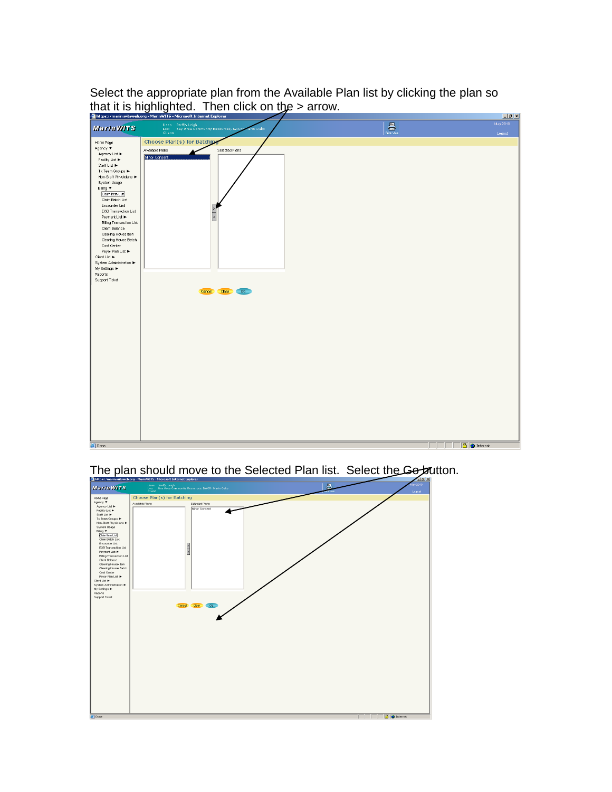Select the appropriate plan from the Available Plan list by clicking the plan so that it is highlighted. Then click on the > arrow.

|                                          | https://marin.witsweb.org - MarinWITS - Microsoft Internet Explorer                     |                                                                                                                                                                                                                                                       | Lx                |
|------------------------------------------|-----------------------------------------------------------------------------------------|-------------------------------------------------------------------------------------------------------------------------------------------------------------------------------------------------------------------------------------------------------|-------------------|
| <b>MarinWITS</b>                         | User: Steffy, Leigh<br>Loc: Bay Area Community Resources, BACR<br>Client:<br>Marin Oaks | $\begin{tabular}{ c c } \hline \quad \quad & \quad \quad & \quad \quad \\ \hline \quad \quad & \quad \quad & \quad \quad \\ \hline \quad \quad & \quad \quad & \quad \quad \\ \hline \quad \quad & \quad \quad & \quad \quad \\ \hline \end{tabular}$ | May 2010          |
|                                          |                                                                                         |                                                                                                                                                                                                                                                       | Legeut            |
| Home Page<br>Agency ▼                    | Choose Plan(s) for Batching<br>Available Plans<br>Selected Plans                        |                                                                                                                                                                                                                                                       |                   |
| Agency List<br>Facility List             | Minor Consent                                                                           |                                                                                                                                                                                                                                                       |                   |
| Staff List                               |                                                                                         |                                                                                                                                                                                                                                                       |                   |
| Tx Team Groups ▶<br>Non-Staff Physicians |                                                                                         |                                                                                                                                                                                                                                                       |                   |
| System Usage                             |                                                                                         |                                                                                                                                                                                                                                                       |                   |
| Biling ▼<br>Claim Item List              |                                                                                         |                                                                                                                                                                                                                                                       |                   |
| Claim Batch List<br>Encounter List       |                                                                                         |                                                                                                                                                                                                                                                       |                   |
| EOB Transaction List<br>Payment List ▶   | $\alpha$   $\alpha$                                                                     |                                                                                                                                                                                                                                                       |                   |
| <b>Billing Transaction List</b>          |                                                                                         |                                                                                                                                                                                                                                                       |                   |
| Client Balance<br>Clearing House Item    |                                                                                         |                                                                                                                                                                                                                                                       |                   |
| Clearing House Batch<br>Cost Center      |                                                                                         |                                                                                                                                                                                                                                                       |                   |
| Payor Plan List<br>Client List ▶         |                                                                                         |                                                                                                                                                                                                                                                       |                   |
| System Administration >                  |                                                                                         |                                                                                                                                                                                                                                                       |                   |
| My Settings ▶<br>Reports                 |                                                                                         |                                                                                                                                                                                                                                                       |                   |
| Support Ticket                           |                                                                                         |                                                                                                                                                                                                                                                       |                   |
|                                          | Clear<br>$-$ Go<br>Cancel                                                               |                                                                                                                                                                                                                                                       |                   |
|                                          |                                                                                         |                                                                                                                                                                                                                                                       |                   |
|                                          |                                                                                         |                                                                                                                                                                                                                                                       |                   |
|                                          |                                                                                         |                                                                                                                                                                                                                                                       |                   |
|                                          |                                                                                         |                                                                                                                                                                                                                                                       |                   |
|                                          |                                                                                         |                                                                                                                                                                                                                                                       |                   |
|                                          |                                                                                         |                                                                                                                                                                                                                                                       |                   |
|                                          |                                                                                         |                                                                                                                                                                                                                                                       |                   |
|                                          |                                                                                         |                                                                                                                                                                                                                                                       |                   |
|                                          |                                                                                         |                                                                                                                                                                                                                                                       |                   |
|                                          |                                                                                         |                                                                                                                                                                                                                                                       |                   |
|                                          |                                                                                         |                                                                                                                                                                                                                                                       |                   |
|                                          |                                                                                         |                                                                                                                                                                                                                                                       |                   |
|                                          |                                                                                         |                                                                                                                                                                                                                                                       |                   |
|                                          |                                                                                         |                                                                                                                                                                                                                                                       |                   |
| Done                                     |                                                                                         |                                                                                                                                                                                                                                                       | <b>A</b> Internet |
|                                          |                                                                                         |                                                                                                                                                                                                                                                       |                   |

The plan should move to the Selected Plan list. Select the Go button.

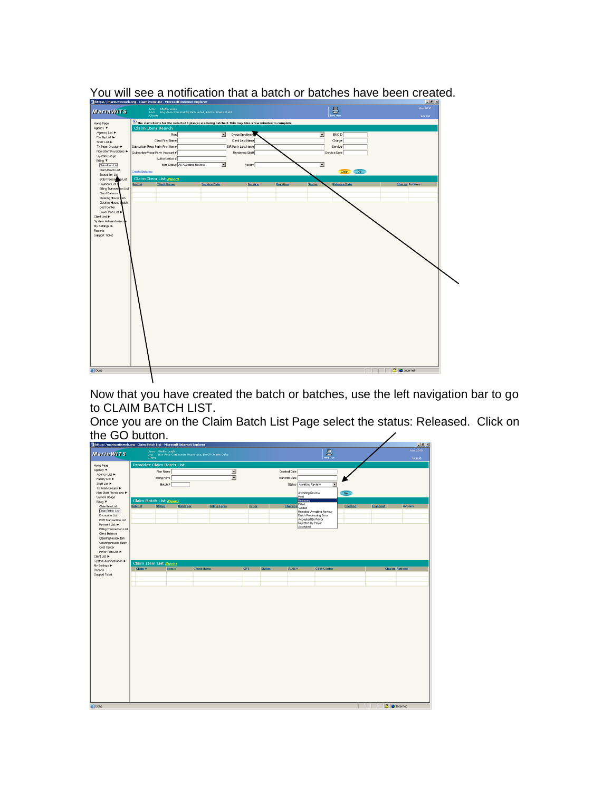

You will see a notification that a batch or batches have been created.

Now that you have created the batch or batches, use the left navigation bar to go to CLAIM BATCH LIST.

Once you are on the Claim Batch List Page select the status: Released. Click on the GO button.

| https://marin.witsweb.org - Claim Batch List - Microsoft Internet Explorer |                         |                           |                                                                                       |            |               |                                                    |                                                                                                                                                                                                                                                                                                                                                     |         |          | H                     |
|----------------------------------------------------------------------------|-------------------------|---------------------------|---------------------------------------------------------------------------------------|------------|---------------|----------------------------------------------------|-----------------------------------------------------------------------------------------------------------------------------------------------------------------------------------------------------------------------------------------------------------------------------------------------------------------------------------------------------|---------|----------|-----------------------|
| <b>MarinWITS</b>                                                           |                         |                           | User: Staffy, Laigh<br>Loc: Bay Area Community Resources, BACR- Marin Oaks<br>Client: |            |               |                                                    | $\begin{picture}(20,20) \put(0,0){\line(1,0){10}} \put(15,0){\line(1,0){10}} \put(15,0){\line(1,0){10}} \put(15,0){\line(1,0){10}} \put(15,0){\line(1,0){10}} \put(15,0){\line(1,0){10}} \put(15,0){\line(1,0){10}} \put(15,0){\line(1,0){10}} \put(15,0){\line(1,0){10}} \put(15,0){\line(1,0){10}} \put(15,0){\line(1,0){10}} \put(15,0){\line(1$ |         |          | May 2010<br>Legeut    |
| Home Page                                                                  |                         | Provider Claim Batch List |                                                                                       |            |               |                                                    |                                                                                                                                                                                                                                                                                                                                                     |         |          |                       |
| Agency ▼                                                                   |                         | Plan Name                 | $\overline{\phantom{a}}$                                                              |            | Created Date  |                                                    |                                                                                                                                                                                                                                                                                                                                                     |         |          |                       |
| Agency List                                                                |                         |                           | $\overline{\phantom{0}}$                                                              |            | Transmit Date |                                                    |                                                                                                                                                                                                                                                                                                                                                     |         |          |                       |
| Facilty List >                                                             |                         | Biling Form               |                                                                                       |            |               |                                                    |                                                                                                                                                                                                                                                                                                                                                     |         |          |                       |
| Staff List<br>Tx Team Groups >                                             |                         | Betch #                   |                                                                                       |            |               | Status Awaiting Review                             | $\overline{\phantom{a}}$                                                                                                                                                                                                                                                                                                                            |         |          |                       |
| Non-Staff Physicians >                                                     |                         |                           |                                                                                       |            |               | Awaiting Review                                    |                                                                                                                                                                                                                                                                                                                                                     | Go      |          |                       |
| System Usage                                                               |                         |                           |                                                                                       |            |               | Hold                                               |                                                                                                                                                                                                                                                                                                                                                     |         |          |                       |
| Biling T                                                                   | Claim Batch List (Boot) |                           |                                                                                       |            |               | Released                                           |                                                                                                                                                                                                                                                                                                                                                     |         |          |                       |
| Claim Item List                                                            | Batch #                 | <b>Status</b>             | <b>Batch For</b><br><b>Billing Form</b>                                               | Order      |               | Biled<br>Charges<br>Voided                         |                                                                                                                                                                                                                                                                                                                                                     | Created | Transmit | <b>Actions</b>        |
| Claim Batch List                                                           |                         |                           |                                                                                       |            |               |                                                    | Rejected-Awaiting Review                                                                                                                                                                                                                                                                                                                            |         |          |                       |
| Encounter List                                                             |                         |                           |                                                                                       |            |               | <b>Batch Processing Error</b><br>Accepted By Payor |                                                                                                                                                                                                                                                                                                                                                     |         |          |                       |
| EOB Transaction List                                                       |                         |                           |                                                                                       |            |               | Rejected By Payer                                  |                                                                                                                                                                                                                                                                                                                                                     |         |          |                       |
| Payment List<br>Billing Transaction List                                   |                         |                           |                                                                                       |            |               | Accepted                                           |                                                                                                                                                                                                                                                                                                                                                     |         |          |                       |
| Client Belance                                                             |                         |                           |                                                                                       |            |               |                                                    |                                                                                                                                                                                                                                                                                                                                                     |         |          |                       |
| Clearing House Item                                                        |                         |                           |                                                                                       |            |               |                                                    |                                                                                                                                                                                                                                                                                                                                                     |         |          |                       |
| Clearing House Batch                                                       |                         |                           |                                                                                       |            |               |                                                    |                                                                                                                                                                                                                                                                                                                                                     |         |          |                       |
| Cost Center                                                                |                         |                           |                                                                                       |            |               |                                                    |                                                                                                                                                                                                                                                                                                                                                     |         |          |                       |
| Payer Plan List                                                            |                         |                           |                                                                                       |            |               |                                                    |                                                                                                                                                                                                                                                                                                                                                     |         |          |                       |
| Client List<br>System Administration                                       |                         |                           |                                                                                       |            |               |                                                    |                                                                                                                                                                                                                                                                                                                                                     |         |          |                       |
| My Settings >                                                              | Claim Item List (Boort) |                           |                                                                                       |            |               |                                                    |                                                                                                                                                                                                                                                                                                                                                     |         |          |                       |
| Reports                                                                    | Claim $\#$              | Item #                    | <b>Client Hame</b>                                                                    | <b>CPT</b> | <b>Status</b> | Auth $\#$                                          | <b>Cost Center</b>                                                                                                                                                                                                                                                                                                                                  |         |          | <b>Charge Actions</b> |
| Support Ticket                                                             |                         |                           |                                                                                       |            |               |                                                    |                                                                                                                                                                                                                                                                                                                                                     |         |          |                       |
|                                                                            |                         |                           |                                                                                       |            |               |                                                    |                                                                                                                                                                                                                                                                                                                                                     |         |          |                       |
|                                                                            |                         |                           |                                                                                       |            |               |                                                    |                                                                                                                                                                                                                                                                                                                                                     |         |          |                       |
|                                                                            |                         |                           |                                                                                       |            |               |                                                    |                                                                                                                                                                                                                                                                                                                                                     |         |          |                       |
|                                                                            |                         |                           |                                                                                       |            |               |                                                    |                                                                                                                                                                                                                                                                                                                                                     |         |          |                       |
|                                                                            |                         |                           |                                                                                       |            |               |                                                    |                                                                                                                                                                                                                                                                                                                                                     |         |          |                       |
|                                                                            |                         |                           |                                                                                       |            |               |                                                    |                                                                                                                                                                                                                                                                                                                                                     |         |          |                       |
|                                                                            |                         |                           |                                                                                       |            |               |                                                    |                                                                                                                                                                                                                                                                                                                                                     |         |          |                       |
|                                                                            |                         |                           |                                                                                       |            |               |                                                    |                                                                                                                                                                                                                                                                                                                                                     |         |          |                       |
|                                                                            |                         |                           |                                                                                       |            |               |                                                    |                                                                                                                                                                                                                                                                                                                                                     |         |          |                       |
|                                                                            |                         |                           |                                                                                       |            |               |                                                    |                                                                                                                                                                                                                                                                                                                                                     |         |          |                       |
|                                                                            |                         |                           |                                                                                       |            |               |                                                    |                                                                                                                                                                                                                                                                                                                                                     |         |          |                       |
|                                                                            |                         |                           |                                                                                       |            |               |                                                    |                                                                                                                                                                                                                                                                                                                                                     |         |          |                       |
|                                                                            |                         |                           |                                                                                       |            |               |                                                    |                                                                                                                                                                                                                                                                                                                                                     |         |          |                       |
|                                                                            |                         |                           |                                                                                       |            |               |                                                    |                                                                                                                                                                                                                                                                                                                                                     |         |          |                       |
|                                                                            |                         |                           |                                                                                       |            |               |                                                    |                                                                                                                                                                                                                                                                                                                                                     |         |          |                       |
|                                                                            |                         |                           |                                                                                       |            |               |                                                    |                                                                                                                                                                                                                                                                                                                                                     |         |          |                       |
|                                                                            |                         |                           |                                                                                       |            |               |                                                    |                                                                                                                                                                                                                                                                                                                                                     |         |          |                       |
|                                                                            |                         |                           |                                                                                       |            |               |                                                    |                                                                                                                                                                                                                                                                                                                                                     |         |          |                       |
|                                                                            |                         |                           |                                                                                       |            |               |                                                    |                                                                                                                                                                                                                                                                                                                                                     |         |          |                       |
|                                                                            |                         |                           |                                                                                       |            |               |                                                    |                                                                                                                                                                                                                                                                                                                                                     |         |          |                       |
|                                                                            |                         |                           |                                                                                       |            |               |                                                    |                                                                                                                                                                                                                                                                                                                                                     |         |          |                       |
|                                                                            |                         |                           |                                                                                       |            |               |                                                    |                                                                                                                                                                                                                                                                                                                                                     |         |          |                       |
|                                                                            |                         |                           |                                                                                       |            |               |                                                    |                                                                                                                                                                                                                                                                                                                                                     |         |          |                       |
|                                                                            |                         |                           |                                                                                       |            |               |                                                    |                                                                                                                                                                                                                                                                                                                                                     |         |          |                       |
| <b>All</b> Done                                                            |                         |                           |                                                                                       |            |               |                                                    |                                                                                                                                                                                                                                                                                                                                                     |         |          | A Internet            |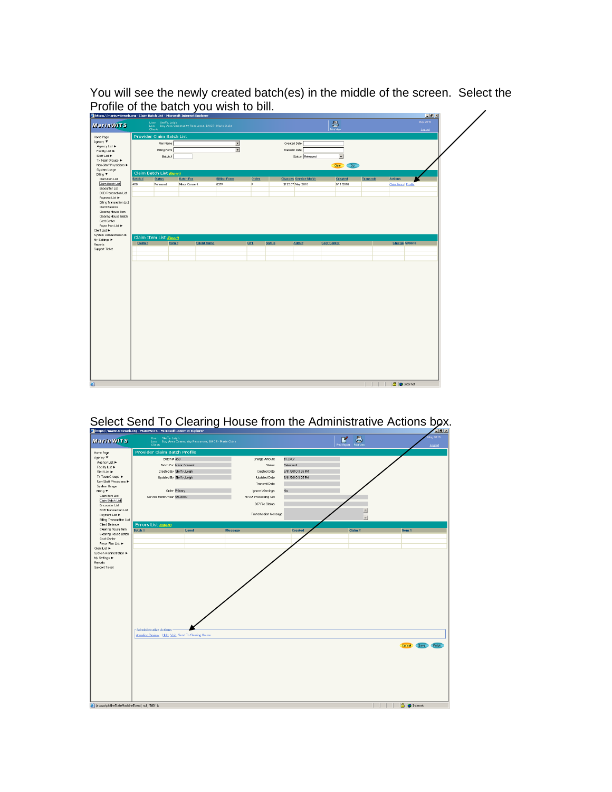You will see the newly created batch(es) in the middle of the screen. Select the Profile of the batch you wish to bill.